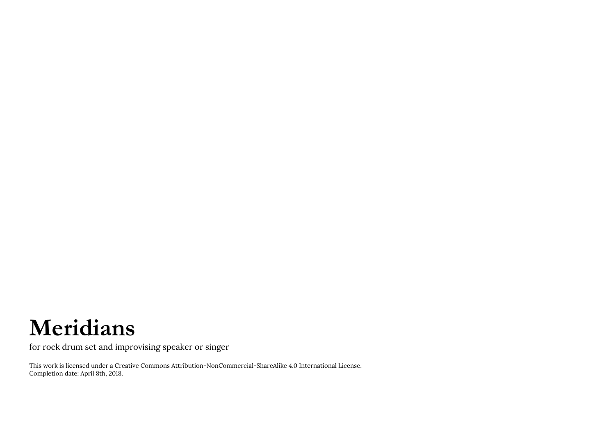## **Meridians**

for rock drum set and improvising speaker or singer

This work is licensed under a Creative Commons Attribution-NonCommercial-ShareAlike 4.0 International License. Completion date: April 8th, 2018.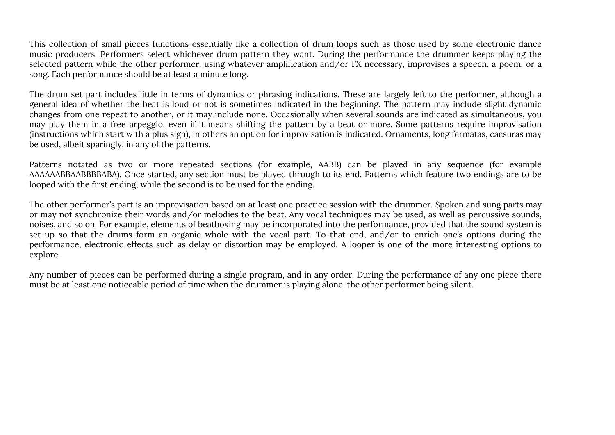This collection of small pieces functions essentially like a collection of drum loops such as those used by some electronic dance music producers. Performers select whichever drum pattern they want. During the performance the drummer keeps playing the selected pattern while the other performer, using whatever amplification and/or FX necessary, improvises a speech, a poem, or a song. Each performance should be at least a minute long.

The drum set part includes little in terms of dynamics or phrasing indications. These are largely left to the performer, although a general idea of whether the beat is loud or not is sometimes indicated in the beginning. The pattern may include slight dynamic changes from one repeat to another, or it may include none. Occasionally when several sounds are indicated as simultaneous, you may play them in a free arpeggio, even if it means shifting the pattern by a beat or more. Some patterns require improvisation (instructions which start with a plus sign), in others an option for improvisation is indicated. Ornaments, long fermatas, caesuras may be used, albeit sparingly, in any of the patterns.

Patterns notated as two or more repeated sections (for example, AABB) can be played in any sequence (for example AAAAAABBAABBBBABA). Once started, any section must be played through to its end. Patterns which feature two endings are to be looped with the first ending, while the second is to be used for the ending.

The other performer's part is an improvisation based on at least one practice session with the drummer. Spoken and sung parts may or may not synchronize their words and/or melodies to the beat. Any vocal techniques may be used, as well as percussive sounds, noises, and so on. For example, elements of beatboxing may be incorporated into the performance, provided that the sound system is set up so that the drums form an organic whole with the vocal part. To that end, and/or to enrich one's options during the performance, electronic effects such as delay or distortion may be employed. A looper is one of the more interesting options to explore.

Any number of pieces can be performed during a single program, and in any order. During the performance of any one piece there must be at least one noticeable period of time when the drummer is playing alone, the other performer being silent.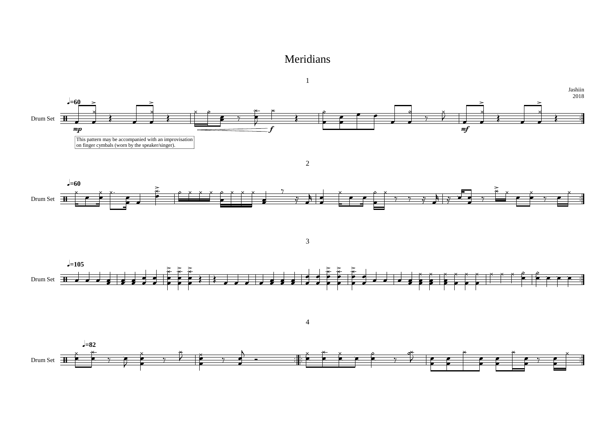

## Meridians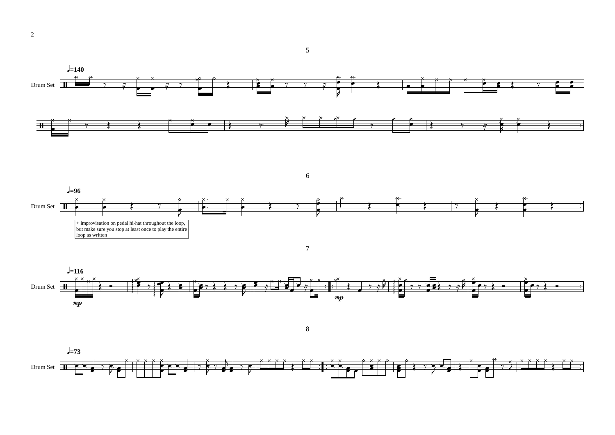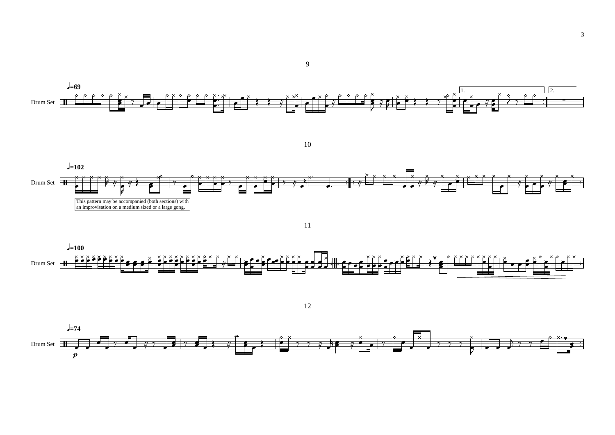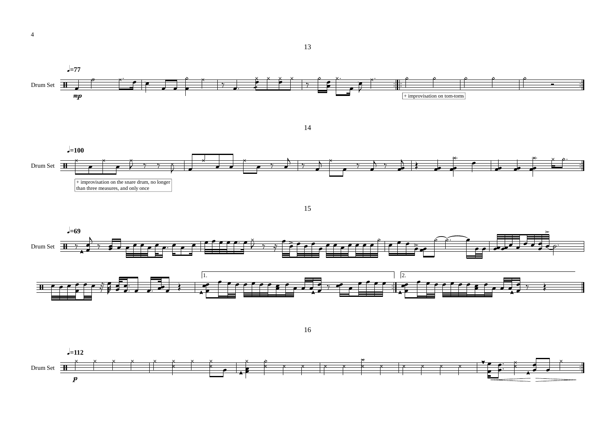